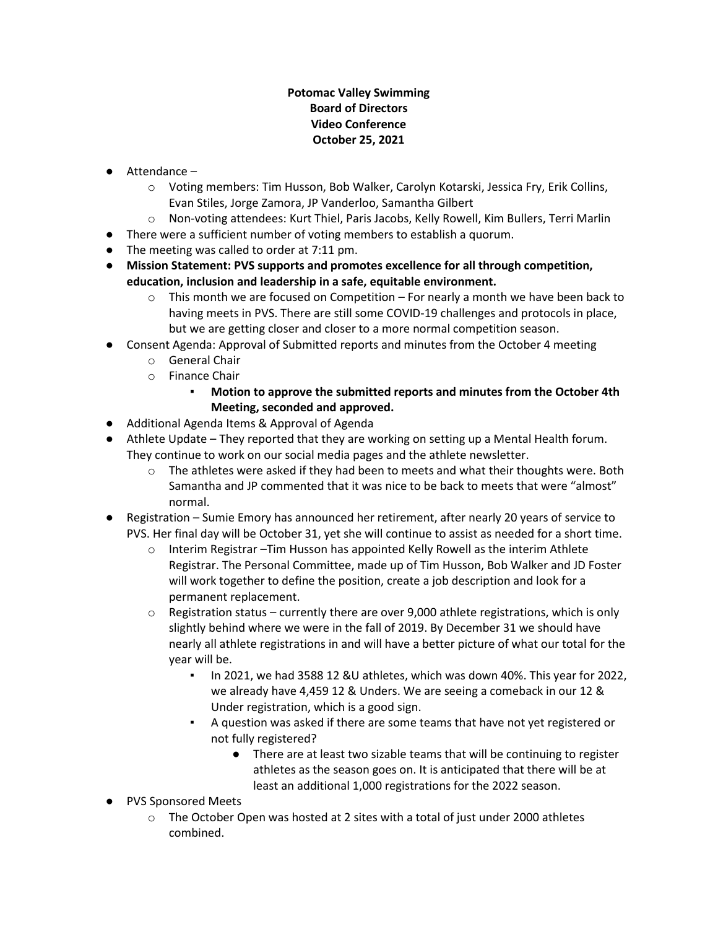### **Potomac Valley Swimming Board of Directors Video Conference October 25, 2021**

- Attendance
	- o Voting members: Tim Husson, Bob Walker, Carolyn Kotarski, Jessica Fry, Erik Collins, Evan Stiles, Jorge Zamora, JP Vanderloo, Samantha Gilbert
	- o Non-voting attendees: Kurt Thiel, Paris Jacobs, Kelly Rowell, Kim Bullers, Terri Marlin
- There were a sufficient number of voting members to establish a quorum.
- The meeting was called to order at 7:11 pm.
- **Mission Statement: PVS supports and promotes excellence for all through competition, education, inclusion and leadership in a safe, equitable environment.**
	- $\circ$  This month we are focused on Competition For nearly a month we have been back to having meets in PVS. There are still some COVID-19 challenges and protocols in place, but we are getting closer and closer to a more normal competition season.
- Consent Agenda: Approval of Submitted reports and minutes from the October 4 meeting
	- o General Chair
	- o Finance Chair
		- **Motion to approve the submitted reports and minutes from the October 4th Meeting, seconded and approved.**
- Additional Agenda Items & Approval of Agenda
- Athlete Update They reported that they are working on setting up a Mental Health forum. They continue to work on our social media pages and the athlete newsletter.
	- $\circ$  The athletes were asked if they had been to meets and what their thoughts were. Both Samantha and JP commented that it was nice to be back to meets that were "almost" normal.
- Registration Sumie Emory has announced her retirement, after nearly 20 years of service to PVS. Her final day will be October 31, yet she will continue to assist as needed for a short time.
	- $\circ$  Interim Registrar –Tim Husson has appointed Kelly Rowell as the interim Athlete Registrar. The Personal Committee, made up of Tim Husson, Bob Walker and JD Foster will work together to define the position, create a job description and look for a permanent replacement.
	- $\circ$  Registration status currently there are over 9,000 athlete registrations, which is only slightly behind where we were in the fall of 2019. By December 31 we should have nearly all athlete registrations in and will have a better picture of what our total for the year will be.
		- In 2021, we had 3588 12 &U athletes, which was down 40%. This year for 2022, we already have 4,459 12 & Unders. We are seeing a comeback in our 12 & Under registration, which is a good sign.
		- A question was asked if there are some teams that have not yet registered or not fully registered?
			- There are at least two sizable teams that will be continuing to register athletes as the season goes on. It is anticipated that there will be at least an additional 1,000 registrations for the 2022 season.
- PVS Sponsored Meets
	- $\circ$  The October Open was hosted at 2 sites with a total of just under 2000 athletes combined.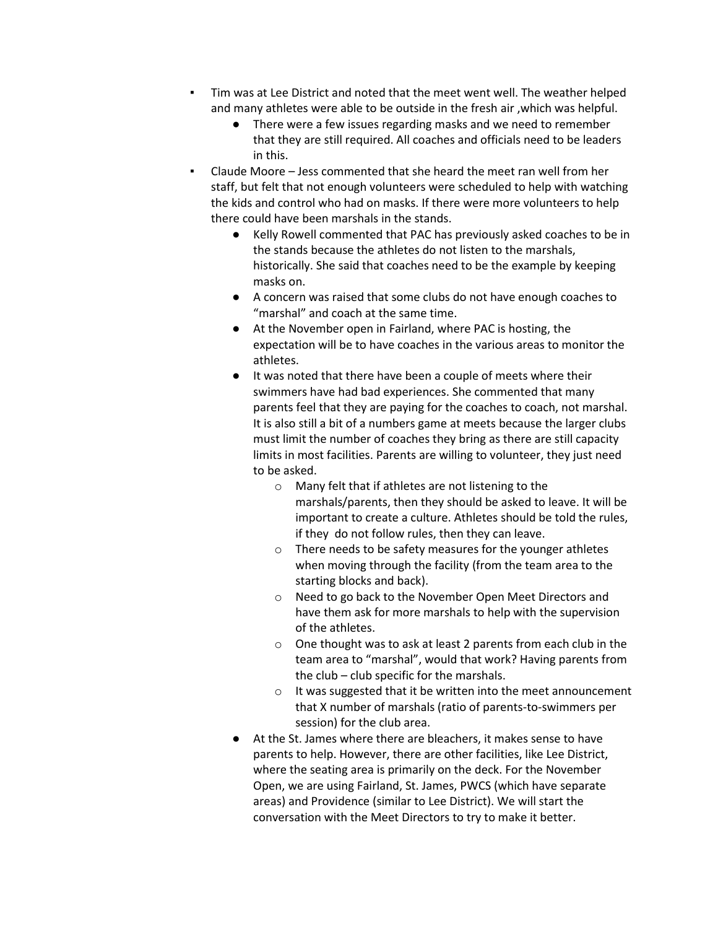- Tim was at Lee District and noted that the meet went well. The weather helped and many athletes were able to be outside in the fresh air ,which was helpful.
	- There were a few issues regarding masks and we need to remember that they are still required. All coaches and officials need to be leaders in this.
- Claude Moore Jess commented that she heard the meet ran well from her staff, but felt that not enough volunteers were scheduled to help with watching the kids and control who had on masks. If there were more volunteers to help there could have been marshals in the stands.
	- Kelly Rowell commented that PAC has previously asked coaches to be in the stands because the athletes do not listen to the marshals, historically. She said that coaches need to be the example by keeping masks on.
	- A concern was raised that some clubs do not have enough coaches to "marshal" and coach at the same time.
	- At the November open in Fairland, where PAC is hosting, the expectation will be to have coaches in the various areas to monitor the athletes.
	- It was noted that there have been a couple of meets where their swimmers have had bad experiences. She commented that many parents feel that they are paying for the coaches to coach, not marshal. It is also still a bit of a numbers game at meets because the larger clubs must limit the number of coaches they bring as there are still capacity limits in most facilities. Parents are willing to volunteer, they just need to be asked.
		- o Many felt that if athletes are not listening to the marshals/parents, then they should be asked to leave. It will be important to create a culture. Athletes should be told the rules, if they do not follow rules, then they can leave.
		- o There needs to be safety measures for the younger athletes when moving through the facility (from the team area to the starting blocks and back).
		- o Need to go back to the November Open Meet Directors and have them ask for more marshals to help with the supervision of the athletes.
		- o One thought was to ask at least 2 parents from each club in the team area to "marshal", would that work? Having parents from the club – club specific for the marshals.
		- o It was suggested that it be written into the meet announcement that X number of marshals (ratio of parents-to-swimmers per session) for the club area.
	- At the St. James where there are bleachers, it makes sense to have parents to help. However, there are other facilities, like Lee District, where the seating area is primarily on the deck. For the November Open, we are using Fairland, St. James, PWCS (which have separate areas) and Providence (similar to Lee District). We will start the conversation with the Meet Directors to try to make it better.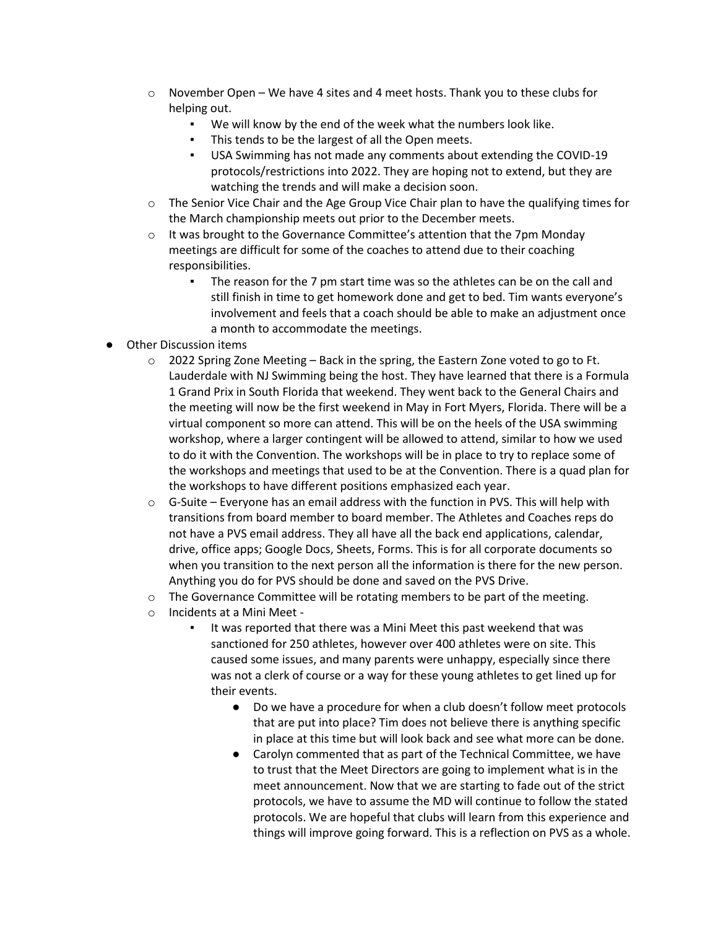- $\circ$  November Open We have 4 sites and 4 meet hosts. Thank you to these clubs for helping out.
	- We will know by the end of the week what the numbers look like.
	- This tends to be the largest of all the Open meets.
	- USA Swimming has not made any comments about extending the COVID-19 protocols/restrictions into 2022. They are hoping not to extend, but they are watching the trends and will make a decision soon.
- $\circ$  The Senior Vice Chair and the Age Group Vice Chair plan to have the qualifying times for the March championship meets out prior to the December meets.
- $\circ$  It was brought to the Governance Committee's attention that the 7pm Monday meetings are difficult for some of the coaches to attend due to their coaching responsibilities.
	- The reason for the 7 pm start time was so the athletes can be on the call and still finish in time to get homework done and get to bed. Tim wants everyone's involvement and feels that a coach should be able to make an adjustment once a month to accommodate the meetings.
- **Other Discussion items** 
	- $\circ$  2022 Spring Zone Meeting Back in the spring, the Eastern Zone voted to go to Ft. Lauderdale with NJ Swimming being the host. They have learned that there is a Formula 1 Grand Prix in South Florida that weekend. They went back to the General Chairs and the meeting will now be the first weekend in May in Fort Myers, Florida. There will be a virtual component so more can attend. This will be on the heels of the USA swimming workshop, where a larger contingent will be allowed to attend, similar to how we used to do it with the Convention. The workshops will be in place to try to replace some of the workshops and meetings that used to be at the Convention. There is a quad plan for the workshops to have different positions emphasized each year.
	- $\circ$  G-Suite Everyone has an email address with the function in PVS. This will help with transitions from board member to board member. The Athletes and Coaches reps do not have a PVS email address. They all have all the back end applications, calendar, drive, office apps; Google Docs, Sheets, Forms. This is for all corporate documents so when you transition to the next person all the information is there for the new person. Anything you do for PVS should be done and saved on the PVS Drive.
	- $\circ$  The Governance Committee will be rotating members to be part of the meeting.
	- o Incidents at a Mini Meet
		- It was reported that there was a Mini Meet this past weekend that was sanctioned for 250 athletes, however over 400 athletes were on site. This caused some issues, and many parents were unhappy, especially since there was not a clerk of course or a way for these young athletes to get lined up for their events.
			- Do we have a procedure for when a club doesn't follow meet protocols that are put into place? Tim does not believe there is anything specific in place at this time but will look back and see what more can be done.
			- Carolyn commented that as part of the Technical Committee, we have to trust that the Meet Directors are going to implement what is in the meet announcement. Now that we are starting to fade out of the strict protocols, we have to assume the MD will continue to follow the stated protocols. We are hopeful that clubs will learn from this experience and things will improve going forward. This is a reflection on PVS as a whole.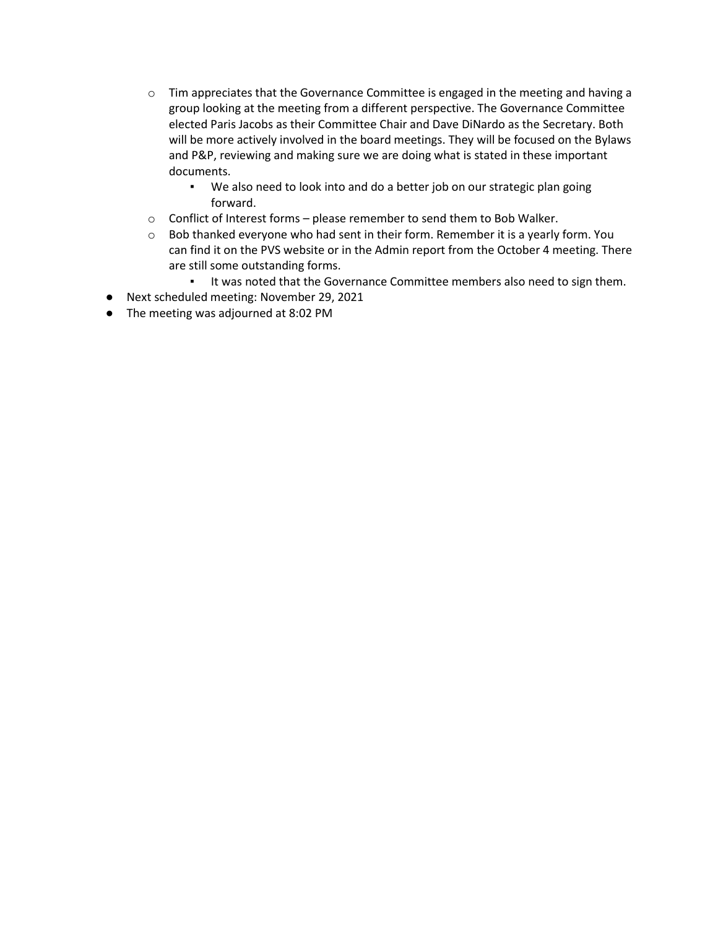- $\circ$  Tim appreciates that the Governance Committee is engaged in the meeting and having a group looking at the meeting from a different perspective. The Governance Committee elected Paris Jacobs as their Committee Chair and Dave DiNardo as the Secretary. Both will be more actively involved in the board meetings. They will be focused on the Bylaws and P&P, reviewing and making sure we are doing what is stated in these important documents.
	- We also need to look into and do a better job on our strategic plan going forward.
- o Conflict of Interest forms please remember to send them to Bob Walker.
- $\circ$  Bob thanked everyone who had sent in their form. Remember it is a yearly form. You can find it on the PVS website or in the Admin report from the October 4 meeting. There are still some outstanding forms.
	- It was noted that the Governance Committee members also need to sign them.
- Next scheduled meeting: November 29, 2021
- The meeting was adjourned at 8:02 PM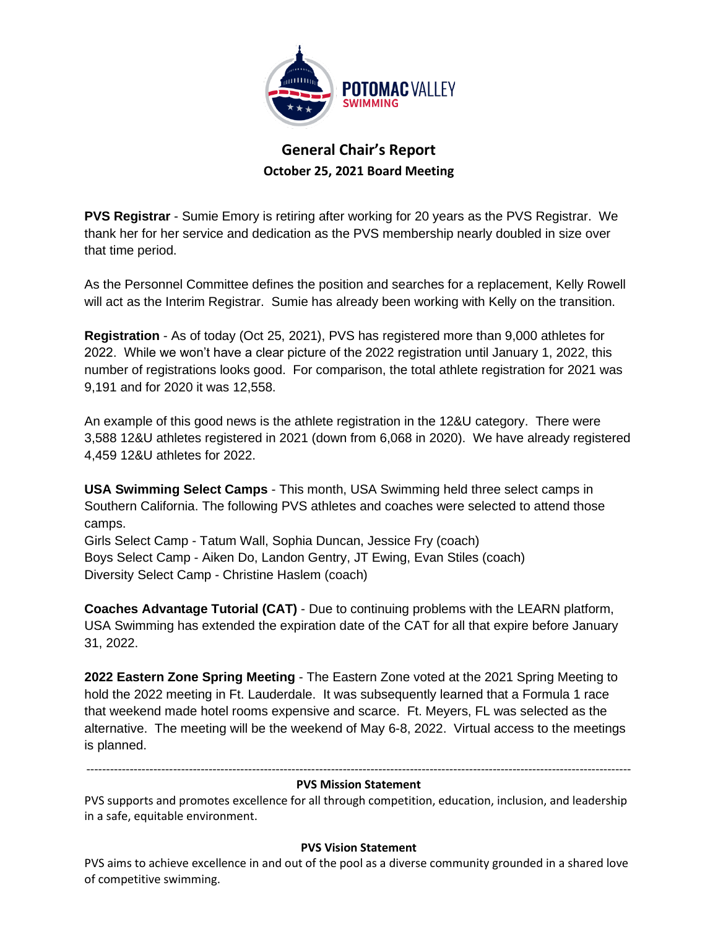

# **General Chair's Report October 25, 2021 Board Meeting**

**PVS Registrar** - Sumie Emory is retiring after working for 20 years as the PVS Registrar. We thank her for her service and dedication as the PVS membership nearly doubled in size over that time period.

As the Personnel Committee defines the position and searches for a replacement, Kelly Rowell will act as the Interim Registrar. Sumie has already been working with Kelly on the transition.

**Registration** - As of today (Oct 25, 2021), PVS has registered more than 9,000 athletes for 2022. While we won't have a clear picture of the 2022 registration until January 1, 2022, this number of registrations looks good. For comparison, the total athlete registration for 2021 was 9,191 and for 2020 it was 12,558.

An example of this good news is the athlete registration in the 12&U category. There were 3,588 12&U athletes registered in 2021 (down from 6,068 in 2020). We have already registered 4,459 12&U athletes for 2022.

**USA Swimming Select Camps** - This month, USA Swimming held three select camps in Southern California. The following PVS athletes and coaches were selected to attend those camps.

Girls Select Camp - Tatum Wall, Sophia Duncan, Jessice Fry (coach) Boys Select Camp - Aiken Do, Landon Gentry, JT Ewing, Evan Stiles (coach) Diversity Select Camp - Christine Haslem (coach)

**Coaches Advantage Tutorial (CAT)** - Due to continuing problems with the LEARN platform, USA Swimming has extended the expiration date of the CAT for all that expire before January 31, 2022.

**2022 Eastern Zone Spring Meeting** - The Eastern Zone voted at the 2021 Spring Meeting to hold the 2022 meeting in Ft. Lauderdale. It was subsequently learned that a Formula 1 race that weekend made hotel rooms expensive and scarce. Ft. Meyers, FL was selected as the alternative. The meeting will be the weekend of May 6-8, 2022. Virtual access to the meetings is planned.

------------------------------------------------------------------------------------------------------------------------------------------

#### **PVS Mission Statement**

PVS supports and promotes excellence for all through competition, education, inclusion, and leadership in a safe, equitable environment.

### **PVS Vision Statement**

PVS aims to achieve excellence in and out of the pool as a diverse community grounded in a shared love of competitive swimming.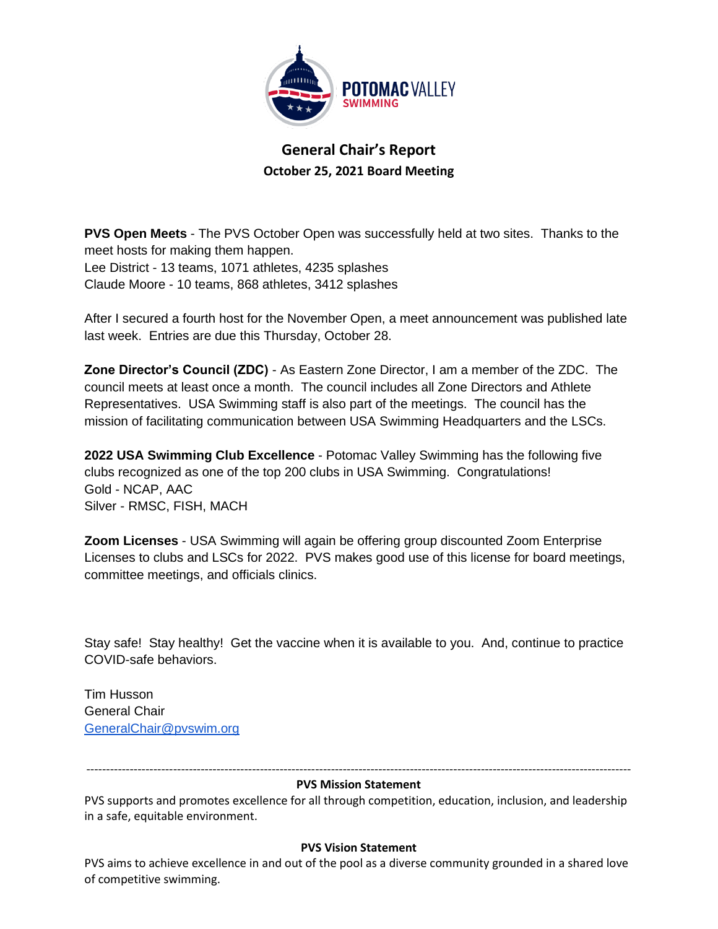

**General Chair's Report October 25, 2021 Board Meeting**

**PVS Open Meets** - The PVS October Open was successfully held at two sites. Thanks to the meet hosts for making them happen. Lee District - 13 teams, 1071 athletes, 4235 splashes Claude Moore - 10 teams, 868 athletes, 3412 splashes

After I secured a fourth host for the November Open, a meet announcement was published late last week. Entries are due this Thursday, October 28.

**Zone Director's Council (ZDC)** - As Eastern Zone Director, I am a member of the ZDC. The council meets at least once a month. The council includes all Zone Directors and Athlete Representatives. USA Swimming staff is also part of the meetings. The council has the mission of facilitating communication between USA Swimming Headquarters and the LSCs.

**2022 USA Swimming Club Excellence** - Potomac Valley Swimming has the following five clubs recognized as one of the top 200 clubs in USA Swimming. Congratulations! Gold - NCAP, AAC Silver - RMSC, FISH, MACH

**Zoom Licenses** - USA Swimming will again be offering group discounted Zoom Enterprise Licenses to clubs and LSCs for 2022. PVS makes good use of this license for board meetings, committee meetings, and officials clinics.

Stay safe! Stay healthy! Get the vaccine when it is available to you. And, continue to practice COVID-safe behaviors.

Tim Husson General Chair [GeneralChair@pvswim.org](mailto:GeneralChair@pvswim.org)

------------------------------------------------------------------------------------------------------------------------------------------ **PVS Mission Statement**

PVS supports and promotes excellence for all through competition, education, inclusion, and leadership in a safe, equitable environment.

### **PVS Vision Statement**

PVS aims to achieve excellence in and out of the pool as a diverse community grounded in a shared love of competitive swimming.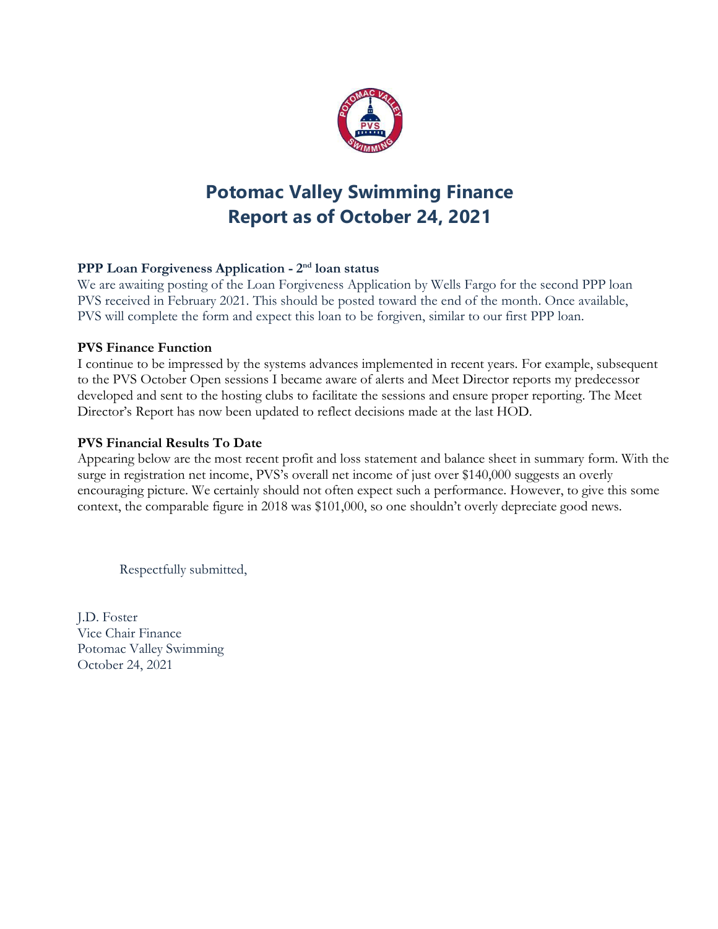

# **Potomac Valley Swimming Finance Report as of October 24, 2021**

# **PPP Loan Forgiveness Application - 2 nd loan status**

We are awaiting posting of the Loan Forgiveness Application by Wells Fargo for the second PPP loan PVS received in February 2021. This should be posted toward the end of the month. Once available, PVS will complete the form and expect this loan to be forgiven, similar to our first PPP loan.

### **PVS Finance Function**

I continue to be impressed by the systems advances implemented in recent years. For example, subsequent to the PVS October Open sessions I became aware of alerts and Meet Director reports my predecessor developed and sent to the hosting clubs to facilitate the sessions and ensure proper reporting. The Meet Director's Report has now been updated to reflect decisions made at the last HOD.

# **PVS Financial Results To Date**

Appearing below are the most recent profit and loss statement and balance sheet in summary form. With the surge in registration net income, PVS's overall net income of just over \$140,000 suggests an overly encouraging picture. We certainly should not often expect such a performance. However, to give this some context, the comparable figure in 2018 was \$101,000, so one shouldn't overly depreciate good news.

Respectfully submitted,

J.D. Foster Vice Chair Finance Potomac Valley Swimming October 24, 2021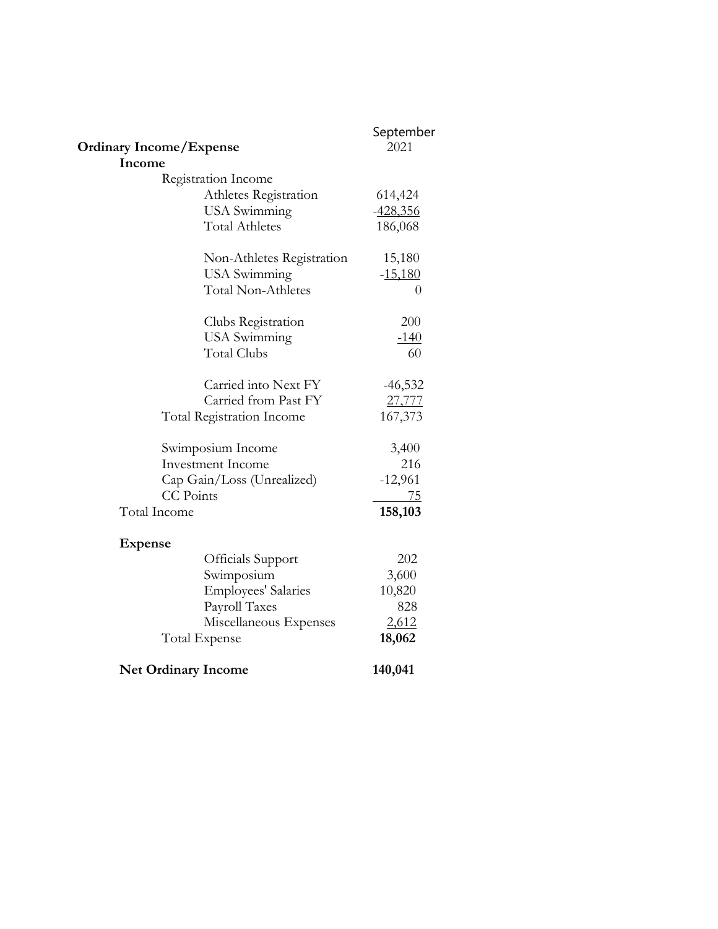|                                  | September      |
|----------------------------------|----------------|
| <b>Ordinary Income/Expense</b>   | 2021           |
| Income                           |                |
| Registration Income              |                |
| Athletes Registration            | 614,424        |
| <b>USA</b> Swimming              | $-428,356$     |
| <b>Total Athletes</b>            | 186,068        |
| Non-Athletes Registration        | 15,180         |
| <b>USA</b> Swimming              | $-15,180$      |
| <b>Total Non-Athletes</b>        | $\overline{0}$ |
| Clubs Registration               | 200            |
| <b>USA</b> Swimming              | <u>-140</u>    |
| <b>Total Clubs</b>               | 60             |
| Carried into Next FY             | $-46,532$      |
| Carried from Past FY             | 27,777         |
| <b>Total Registration Income</b> | 167,373        |
| Swimposium Income                | 3,400          |
| <b>Investment Income</b>         | 216            |
| Cap Gain/Loss (Unrealized)       | $-12,961$      |
| <b>CC</b> Points                 | <u>75</u>      |
| Total Income                     | 158,103        |
| <b>Expense</b>                   |                |
| Officials Support                | 202            |
| Swimposium                       | 3,600          |
| <b>Employees' Salaries</b>       | 10,820         |
| Payroll Taxes                    | 828            |
| Miscellaneous Expenses           | 2,612          |
| Total Expense                    | 18,062         |
| <b>Net Ordinary Income</b>       | 140,041        |